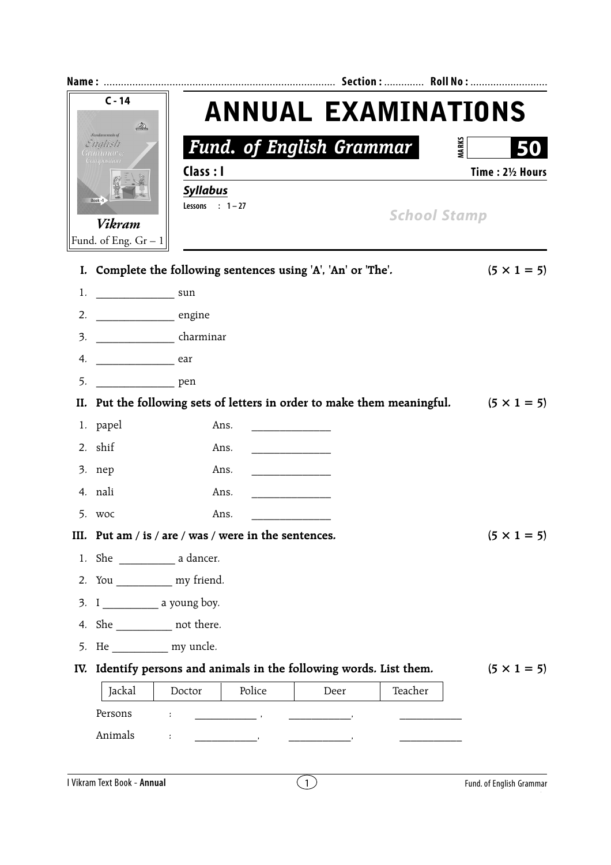|                                          | $C - 14$<br>D.                          | <b>ANNUAL EXAMINATIONS</b>                                                                 |                     |  |  |
|------------------------------------------|-----------------------------------------|--------------------------------------------------------------------------------------------|---------------------|--|--|
| <b><i>fundamentals of</i></b><br>English |                                         | <b>Fund. of English Grammar</b>                                                            | <b>MARKS</b>        |  |  |
|                                          |                                         | Class : I                                                                                  | Time: 21/2 Hours    |  |  |
|                                          |                                         | <b>Syllabus</b>                                                                            |                     |  |  |
| Book -1                                  |                                         | Lessons : $1-27$                                                                           | <b>School Stamp</b> |  |  |
|                                          | <b>Vikram</b><br>Fund. of Eng. $Gr - 1$ |                                                                                            |                     |  |  |
|                                          |                                         |                                                                                            |                     |  |  |
|                                          |                                         | I. Complete the following sentences using 'A', 'An' or 'The'.                              | $(5 \times 1 = 5)$  |  |  |
| 1.                                       | $\frac{1}{2}$ sun                       |                                                                                            |                     |  |  |
| 2.                                       | engine                                  |                                                                                            |                     |  |  |
| 3.                                       | charminar                               |                                                                                            |                     |  |  |
| 4.                                       | $\overline{\phantom{a}}$ ear            |                                                                                            |                     |  |  |
| 5.                                       | <u>nem</u> pen                          |                                                                                            |                     |  |  |
|                                          |                                         | II. Put the following sets of letters in order to make them meaningful. $(5 \times 1 = 5)$ |                     |  |  |
|                                          | 1. papel                                | Ans.                                                                                       |                     |  |  |
|                                          |                                         |                                                                                            |                     |  |  |
|                                          | 2. shif                                 | Ans.                                                                                       |                     |  |  |
|                                          | 3. nep                                  | Ans.                                                                                       |                     |  |  |
|                                          | 4. nali                                 | Ans.                                                                                       |                     |  |  |
|                                          | 5. woc                                  | Ans.                                                                                       |                     |  |  |
|                                          |                                         | III. Put am / is / are / was / were in the sentences.                                      |                     |  |  |
|                                          |                                         |                                                                                            |                     |  |  |
|                                          | 2. You ______________ my friend.        |                                                                                            | $(5 \times 1 = 5)$  |  |  |
|                                          |                                         |                                                                                            |                     |  |  |
|                                          | 4. She _____________ not there.         |                                                                                            |                     |  |  |
| 5.                                       | He my uncle.                            |                                                                                            |                     |  |  |
| IV.                                      |                                         | Identify persons and animals in the following words. List them.                            |                     |  |  |
|                                          | Jackal                                  | Police<br>Teacher<br>Doctor<br>Deer                                                        |                     |  |  |
|                                          | Persons                                 | ÷<br>$\frac{1}{2}$ , $\frac{1}{2}$ , $\frac{1}{2}$ , $\frac{1}{2}$ , $\frac{1}{2}$         | $(5 \times 1 = 5)$  |  |  |

 $\bigodot$